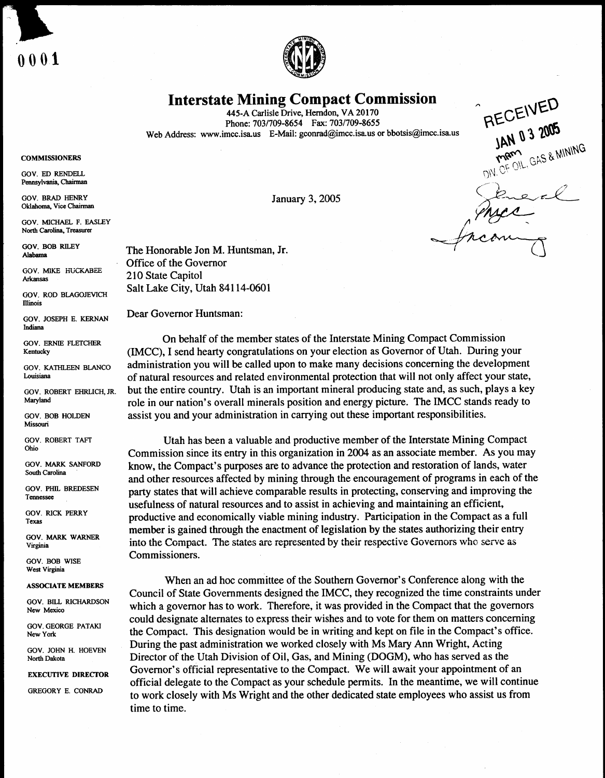



Interstate Mining Compact Commission

445-A Carlisle Drive, Herndon, VA 20170 Phone: 703/709-8654 Fax: 703/709-8655 Web Address: www.imcc.isa.us E-Mail: gconrad@imcc.isa.us or bbotsis@imcc.isa.us

COMMISSIONERS

GOV. ED RENDELL Pennsylvania, Chairman

GOV. BRAD HENRY Oklahoma, Vice Chairman

GOV. MICHAEL F. EASLEY North Carolina, Treasurer

GOV. BOB RILEY Alabama

GOV. MIKE HUCKABEE Arkansas

GOV. ROD BLAGOJEVICH Illinois

GOV. JOSEPH E . KERNAN Indiana

GOV. ERNIE FLETCHER Kentucky

GOV. KATHLEEN BLANCO Louisiana

GOV. ROBERT EHRLICH, JR. Maryland

GOV. BOB HOLDEN Missouri

GOV. ROBERT TAFT Ohio

GOV. MARK SANFORD South Carolina

GOV. PHIL BREDESEN Tennessee

GOV. RICK PERRY Texas

GOV. MARK WARNER Virginia

GOV. BOB WISE West Virginia

## ASSOCIATE MEMBERS

GOV. BILL RICHARDSON New Mexico

GOV. GEORGE PATAKI New York

GOV. JOHN H. HOEVEN North Dakota

EXECUTIVE DIRECTOR

GREGORY E. CONRAD

The Honorable Jon M. Huntsman, Jr. Office of the Governor 210 State Capitol Salt Lake City, Utah 84114-0601

Dear Governor Huntsman:

On behalf of the member states of the Interstate Mining Compact Commission (IMCC), I send hearty congratulations on your election as Governor of Utah. During your administration you will be called upon to make many decisions concerning the development of natural resources and related environmental protection that will not only affect your state, but the entire country. Utah is an important mineral producing state and, as such, plays a key role in our nation's overall minerals position and energy picture . The IMCC stands ready to assist you and your administration in carrying out these important responsibilities .

Utah has been a valuable and productive member of the Interstate Mining Compact Commission since its entry in this organization in 2004 as an associate member . As you may know, the Compact's purposes are to advance the protection and restoration of lands, water and other resources affected by mining through the encouragement of programs in each of the party states that will achieve comparable results in protecting, conserving and improving the usefulness of natural resources and to assist in achieving and maintaining an efficient, productive and economically viable mining industry. Participation in the Compact as a full member is gained through the enactment of legislation by the states authorizing their entry into the Compact. The states are represented by their respective Governors who serve as Commissioners.

When an ad hoc committee of the Southern Governor's Conference along with the Council of State Governments designed the IMCC, they recognized the time constraints under which a governor has to work. Therefore, it was provided in the Compact that the governors could designate alternates to express their wishes and to vote for them on matters concerning the Compact . This designation would be in writing and kept on file in the Compact's office . During the past administration we worked closely with Ms Mary Ann Wright, Acting Director of the Utah Division of Oil, Gas, and Mining (DOGM), who has served as the Governor's official representative to the Compact. We will await your appointment of an official delegate to the Compact as your schedule permits. In the meantime, we will continue to work closely with Ms Wright and the other dedicated state employees who assist us from time to time.

January 3, 2005

RECEIVED JAN 03 2005 **N 0 3 2005**<br>RAM 0 3 2005<br>FOIL, GAS & MINING